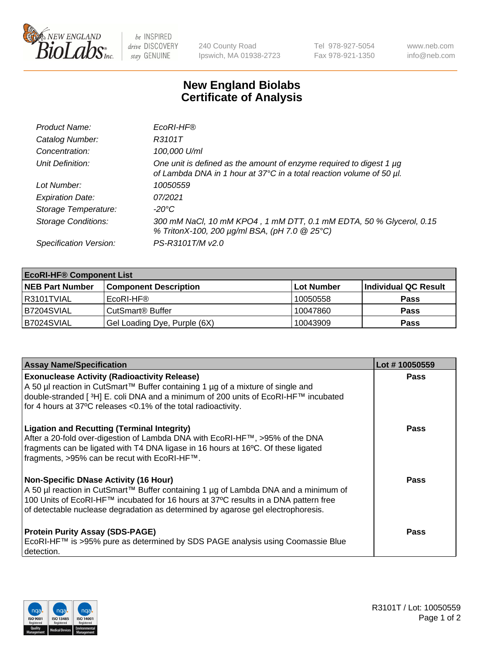

be INSPIRED drive DISCOVERY stay GENUINE

240 County Road Ipswich, MA 01938-2723 Tel 978-927-5054 Fax 978-921-1350 www.neb.com info@neb.com

## **New England Biolabs Certificate of Analysis**

| Product Name:              | EcoRI-HF®                                                                                                                                   |
|----------------------------|---------------------------------------------------------------------------------------------------------------------------------------------|
| Catalog Number:            | R3101T                                                                                                                                      |
| Concentration:             | 100,000 U/ml                                                                                                                                |
| Unit Definition:           | One unit is defined as the amount of enzyme required to digest 1 µg<br>of Lambda DNA in 1 hour at 37°C in a total reaction volume of 50 µl. |
| Lot Number:                | 10050559                                                                                                                                    |
| <b>Expiration Date:</b>    | 07/2021                                                                                                                                     |
| Storage Temperature:       | -20°C                                                                                                                                       |
| <b>Storage Conditions:</b> | 300 mM NaCl, 10 mM KPO4, 1 mM DTT, 0.1 mM EDTA, 50 % Glycerol, 0.15<br>% TritonX-100, 200 µg/ml BSA, (pH 7.0 @ 25°C)                        |
| Specification Version:     | PS-R3101T/M v2.0                                                                                                                            |

| <b>EcoRI-HF® Component List</b> |                              |            |                      |  |  |
|---------------------------------|------------------------------|------------|----------------------|--|--|
| <b>NEB Part Number</b>          | <b>Component Description</b> | Lot Number | Individual QC Result |  |  |
| I R3101TVIAL                    | EcoRI-HF®                    | 10050558   | <b>Pass</b>          |  |  |
| IB7204SVIAL                     | CutSmart <sup>®</sup> Buffer | 10047860   | <b>Pass</b>          |  |  |
| B7024SVIAL                      | Gel Loading Dye, Purple (6X) | 10043909   | <b>Pass</b>          |  |  |

| <b>Assay Name/Specification</b>                                                                                                                                                                                                                                                                                  | Lot #10050559 |
|------------------------------------------------------------------------------------------------------------------------------------------------------------------------------------------------------------------------------------------------------------------------------------------------------------------|---------------|
| <b>Exonuclease Activity (Radioactivity Release)</b><br>  A 50 µl reaction in CutSmart™ Buffer containing 1 µg of a mixture of single and                                                                                                                                                                         | <b>Pass</b>   |
| double-stranded [ <sup>3</sup> H] E. coli DNA and a minimum of 200 units of EcoRI-HF™ incubated<br>for 4 hours at 37°C releases <0.1% of the total radioactivity.                                                                                                                                                |               |
| <b>Ligation and Recutting (Terminal Integrity)</b><br>After a 20-fold over-digestion of Lambda DNA with EcoRI-HF™, >95% of the DNA<br>fragments can be ligated with T4 DNA ligase in 16 hours at 16°C. Of these ligated<br>fragments, >95% can be recut with EcoRI-HF™.                                          | <b>Pass</b>   |
| <b>Non-Specific DNase Activity (16 Hour)</b><br>  A 50 µl reaction in CutSmart™ Buffer containing 1 µg of Lambda DNA and a minimum of<br>100 Units of EcoRI-HF™ incubated for 16 hours at 37°C results in a DNA pattern free<br>of detectable nuclease degradation as determined by agarose gel electrophoresis. | <b>Pass</b>   |
| <b>Protein Purity Assay (SDS-PAGE)</b><br>EcoRI-HF™ is >95% pure as determined by SDS PAGE analysis using Coomassie Blue<br>detection.                                                                                                                                                                           | <b>Pass</b>   |